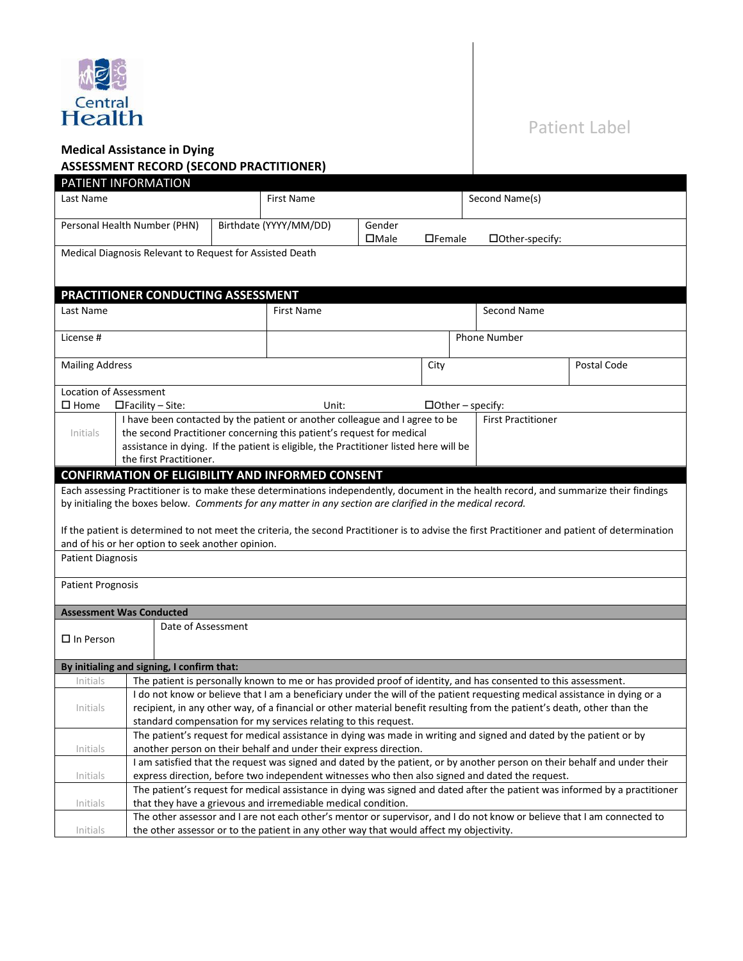

# Patient Label

## **Medical Assistance in Dying**

## **ASSESSMENT RECORD (SECOND PRACTITIONER)**

| Last Name                       |                                                          |                     | <b>First Name</b>                                                                                          |                |               | Second Name(s)                                                                                                             |                                                                                                                                                 |
|---------------------------------|----------------------------------------------------------|---------------------|------------------------------------------------------------------------------------------------------------|----------------|---------------|----------------------------------------------------------------------------------------------------------------------------|-------------------------------------------------------------------------------------------------------------------------------------------------|
|                                 | Personal Health Number (PHN)                             |                     | Birthdate (YYYY/MM/DD)                                                                                     | Gender         |               |                                                                                                                            |                                                                                                                                                 |
|                                 |                                                          |                     |                                                                                                            | $\square$ Male | $\Box$ Female | □Other-specify:                                                                                                            |                                                                                                                                                 |
|                                 | Medical Diagnosis Relevant to Request for Assisted Death |                     |                                                                                                            |                |               |                                                                                                                            |                                                                                                                                                 |
|                                 |                                                          |                     |                                                                                                            |                |               |                                                                                                                            |                                                                                                                                                 |
|                                 |                                                          |                     |                                                                                                            |                |               |                                                                                                                            |                                                                                                                                                 |
|                                 | PRACTITIONER CONDUCTING ASSESSMENT                       |                     |                                                                                                            |                |               |                                                                                                                            |                                                                                                                                                 |
| Last Name                       |                                                          |                     | <b>First Name</b>                                                                                          |                |               | Second Name                                                                                                                |                                                                                                                                                 |
|                                 |                                                          |                     |                                                                                                            |                |               |                                                                                                                            |                                                                                                                                                 |
| License #                       |                                                          | <b>Phone Number</b> |                                                                                                            |                |               |                                                                                                                            |                                                                                                                                                 |
| <b>Mailing Address</b>          |                                                          |                     |                                                                                                            |                | City          |                                                                                                                            | Postal Code                                                                                                                                     |
|                                 |                                                          |                     |                                                                                                            |                |               |                                                                                                                            |                                                                                                                                                 |
| Location of Assessment          |                                                          |                     |                                                                                                            |                |               |                                                                                                                            |                                                                                                                                                 |
| $\square$ Home                  | $\Box$ Facility – Site:                                  |                     | Unit:                                                                                                      |                |               | $\Box$ Other – specify:                                                                                                    |                                                                                                                                                 |
|                                 |                                                          |                     | I have been contacted by the patient or another colleague and I agree to be                                |                |               | <b>First Practitioner</b>                                                                                                  |                                                                                                                                                 |
| Initials                        |                                                          |                     | the second Practitioner concerning this patient's request for medical                                      |                |               |                                                                                                                            |                                                                                                                                                 |
|                                 |                                                          |                     | assistance in dying. If the patient is eligible, the Practitioner listed here will be                      |                |               |                                                                                                                            |                                                                                                                                                 |
|                                 | the first Practitioner.                                  |                     |                                                                                                            |                |               |                                                                                                                            |                                                                                                                                                 |
|                                 |                                                          |                     | <b>CONFIRMATION OF ELIGIBILITY AND INFORMED CONSENT</b>                                                    |                |               |                                                                                                                            |                                                                                                                                                 |
|                                 |                                                          |                     | by initialing the boxes below. Comments for any matter in any section are clarified in the medical record. |                |               |                                                                                                                            | Each assessing Practitioner is to make these determinations independently, document in the health record, and summarize their findings          |
|                                 |                                                          |                     |                                                                                                            |                |               |                                                                                                                            |                                                                                                                                                 |
|                                 |                                                          |                     |                                                                                                            |                |               |                                                                                                                            | If the patient is determined to not meet the criteria, the second Practitioner is to advise the first Practitioner and patient of determination |
|                                 | and of his or her option to seek another opinion.        |                     |                                                                                                            |                |               |                                                                                                                            |                                                                                                                                                 |
| <b>Patient Diagnosis</b>        |                                                          |                     |                                                                                                            |                |               |                                                                                                                            |                                                                                                                                                 |
|                                 |                                                          |                     |                                                                                                            |                |               |                                                                                                                            |                                                                                                                                                 |
| <b>Patient Prognosis</b>        |                                                          |                     |                                                                                                            |                |               |                                                                                                                            |                                                                                                                                                 |
|                                 |                                                          |                     |                                                                                                            |                |               |                                                                                                                            |                                                                                                                                                 |
| <b>Assessment Was Conducted</b> |                                                          |                     |                                                                                                            |                |               |                                                                                                                            |                                                                                                                                                 |
| $\Box$ In Person                | Date of Assessment                                       |                     |                                                                                                            |                |               |                                                                                                                            |                                                                                                                                                 |
|                                 |                                                          |                     |                                                                                                            |                |               |                                                                                                                            |                                                                                                                                                 |
|                                 |                                                          |                     |                                                                                                            |                |               |                                                                                                                            |                                                                                                                                                 |
|                                 |                                                          |                     |                                                                                                            |                |               |                                                                                                                            |                                                                                                                                                 |
| Initials                        | By initialing and signing, I confirm that:               |                     |                                                                                                            |                |               | The patient is personally known to me or has provided proof of identity, and has consented to this assessment.             |                                                                                                                                                 |
|                                 |                                                          |                     |                                                                                                            |                |               | I do not know or believe that I am a beneficiary under the will of the patient requesting medical assistance in dying or a |                                                                                                                                                 |
| Initials                        |                                                          |                     |                                                                                                            |                |               | recipient, in any other way, of a financial or other material benefit resulting from the patient's death, other than the   |                                                                                                                                                 |
|                                 |                                                          |                     | standard compensation for my services relating to this request.                                            |                |               |                                                                                                                            |                                                                                                                                                 |
|                                 |                                                          |                     |                                                                                                            |                |               | The patient's request for medical assistance in dying was made in writing and signed and dated by the patient or by        |                                                                                                                                                 |
| Initials                        |                                                          |                     | another person on their behalf and under their express direction.                                          |                |               |                                                                                                                            |                                                                                                                                                 |
|                                 |                                                          |                     |                                                                                                            |                |               |                                                                                                                            | I am satisfied that the request was signed and dated by the patient, or by another person on their behalf and under their                       |
| Initials                        |                                                          |                     |                                                                                                            |                |               | express direction, before two independent witnesses who then also signed and dated the request.                            |                                                                                                                                                 |
|                                 |                                                          |                     |                                                                                                            |                |               |                                                                                                                            | The patient's request for medical assistance in dying was signed and dated after the patient was informed by a practitioner                     |
| Initials                        |                                                          |                     | that they have a grievous and irremediable medical condition.                                              |                |               | The other assessor and I are not each other's mentor or supervisor, and I do not know or believe that I am connected to    |                                                                                                                                                 |